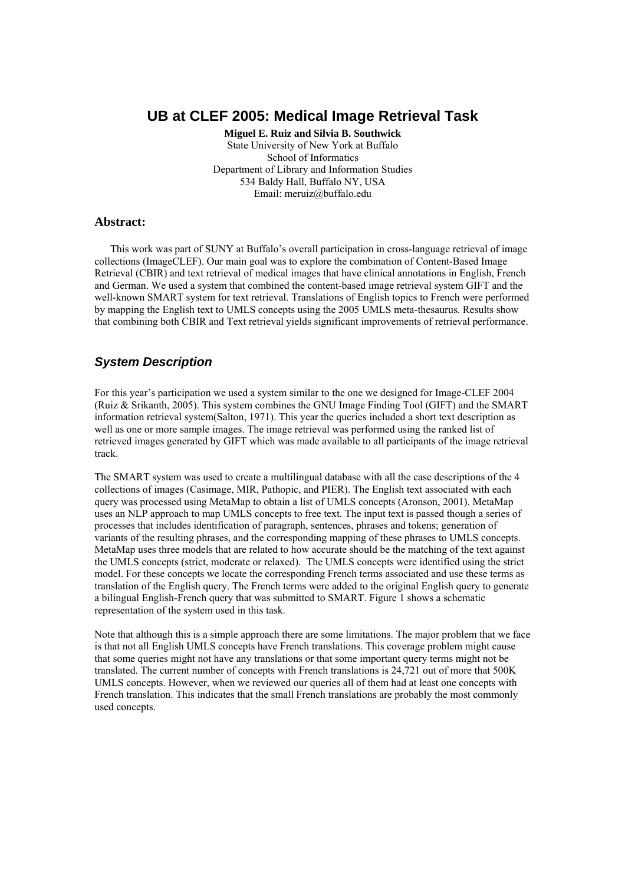# **UB at CLEF 2005: Medical Image Retrieval Task**

**Miguel E. Ruiz and Silvia B. Southwick**  State University of New York at Buffalo School of Informatics Department of Library and Information Studies 534 Baldy Hall, Buffalo NY, USA Email: meruiz@buffalo.edu

#### **Abstract:**

 This work was part of SUNY at Buffalo's overall participation in cross-language retrieval of image collections (ImageCLEF). Our main goal was to explore the combination of Content-Based Image Retrieval (CBIR) and text retrieval of medical images that have clinical annotations in English, French and German. We used a system that combined the content-based image retrieval system GIFT and the well-known SMART system for text retrieval. Translations of English topics to French were performed by mapping the English text to UMLS concepts using the 2005 UMLS meta-thesaurus. Results show that combining both CBIR and Text retrieval yields significant improvements of retrieval performance.

## *System Description*

For this year's participation we used a system similar to the one we designed for Image-CLEF 2004 (Ruiz & Srikanth, 2005). This system combines the GNU Image Finding Tool (GIFT) and the SMART information retrieval system(Salton, 1971). This year the queries included a short text description as well as one or more sample images. The image retrieval was performed using the ranked list of retrieved images generated by GIFT which was made available to all participants of the image retrieval track.

The SMART system was used to create a multilingual database with all the case descriptions of the 4 collections of images (Casimage, MIR, Pathopic, and PIER). The English text associated with each query was processed using MetaMap to obtain a list of UMLS concepts (Aronson, 2001). MetaMap uses an NLP approach to map UMLS concepts to free text. The input text is passed though a series of processes that includes identification of paragraph, sentences, phrases and tokens; generation of variants of the resulting phrases, and the corresponding mapping of these phrases to UMLS concepts. MetaMap uses three models that are related to how accurate should be the matching of the text against the UMLS concepts (strict, moderate or relaxed). The UMLS concepts were identified using the strict model. For these concepts we locate the corresponding French terms associated and use these terms as translation of the English query. The French terms were added to the original English query to generate a bilingual English-French query that was submitted to SMART. Figure 1 shows a schematic representation of the system used in this task.

Note that although this is a simple approach there are some limitations. The major problem that we face is that not all English UMLS concepts have French translations. This coverage problem might cause that some queries might not have any translations or that some important query terms might not be translated. The current number of concepts with French translations is 24,721 out of more that 500K UMLS concepts. However, when we reviewed our queries all of them had at least one concepts with French translation. This indicates that the small French translations are probably the most commonly used concepts.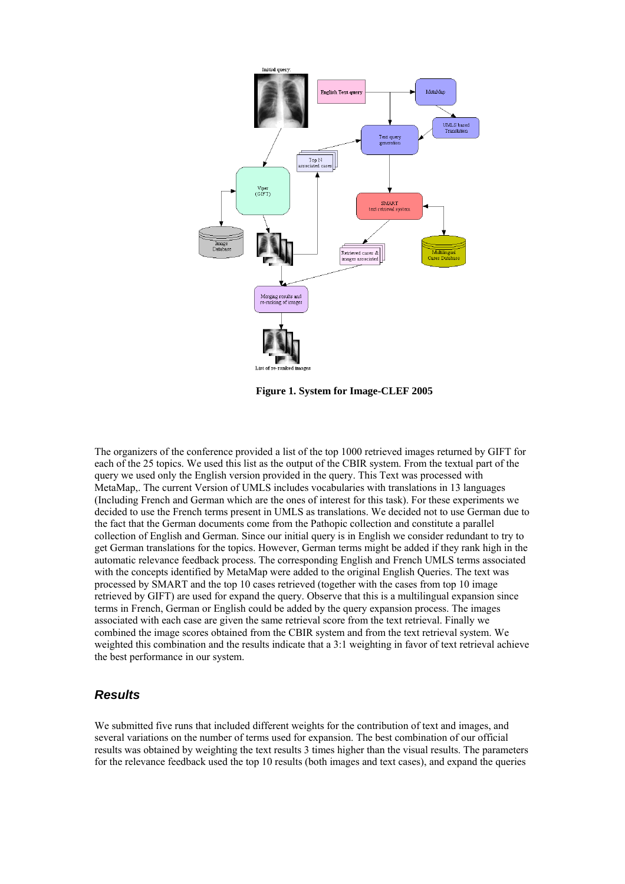

**Figure 1. System for Image-CLEF 2005**

The organizers of the conference provided a list of the top 1000 retrieved images returned by GIFT for each of the 25 topics. We used this list as the output of the CBIR system. From the textual part of the query we used only the English version provided in the query. This Text was processed with MetaMap,. The current Version of UMLS includes vocabularies with translations in 13 languages (Including French and German which are the ones of interest for this task). For these experiments we decided to use the French terms present in UMLS as translations. We decided not to use German due to the fact that the German documents come from the Pathopic collection and constitute a parallel collection of English and German. Since our initial query is in English we consider redundant to try to get German translations for the topics. However, German terms might be added if they rank high in the automatic relevance feedback process. The corresponding English and French UMLS terms associated with the concepts identified by MetaMap were added to the original English Queries. The text was processed by SMART and the top 10 cases retrieved (together with the cases from top 10 image retrieved by GIFT) are used for expand the query. Observe that this is a multilingual expansion since terms in French, German or English could be added by the query expansion process. The images associated with each case are given the same retrieval score from the text retrieval. Finally we combined the image scores obtained from the CBIR system and from the text retrieval system. We weighted this combination and the results indicate that a 3:1 weighting in favor of text retrieval achieve the best performance in our system.

### *Results*

We submitted five runs that included different weights for the contribution of text and images, and several variations on the number of terms used for expansion. The best combination of our official results was obtained by weighting the text results 3 times higher than the visual results. The parameters for the relevance feedback used the top 10 results (both images and text cases), and expand the queries